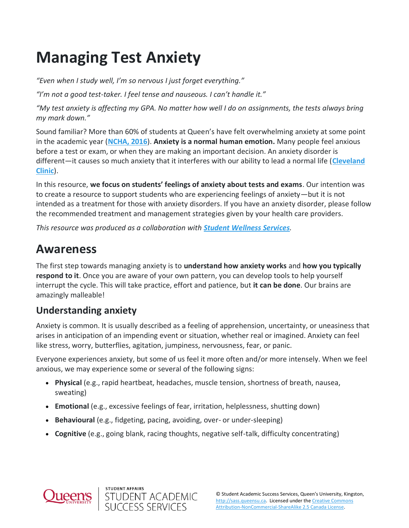# **Managing Test Anxiety**

*"Even when I study well, I'm so nervous I just forget everything."*

*"I'm not a good test-taker. I feel tense and nauseous. I can't handle it."*

"My test anxiety is affecting my GPA. No matter how well I do on assignments, the tests always bring *my mark down."*

Sound familiar? More than 60% of students at Queen's have felt overwhelming anxiety at some point in the academic year (**[NCHA, 2016](https://www.queensu.ca/studentaffairs/health-and-wellness/ncha-student-health-and-wellness-survey)**). **Anxiety is a normal human emotion.** Many people feel anxious before a test or exam, or when they are making an important decision. An anxiety disorder is different—it causes so much anxiety that it interferes with our ability to lead a normal life (**[Cleveland](https://my.clevelandclinic.org/health/diseases/9536-anxiety-disorders)  [Clinic](https://my.clevelandclinic.org/health/diseases/9536-anxiety-disorders)**).

In this resource, **we focus on students' feelings of anxiety about tests and exams**. Our intention was to create a resource to support students who are experiencing feelings of anxiety—but it is not intended as a treatment for those with anxiety disorders. If you have an anxiety disorder, please follow the recommended treatment and management strategies given by your health care providers.

*This resource was produced as a collaboration with [Student Wellness Services](https://www.queensu.ca/studentwellness/).*

## **Awareness**

The first step towards managing anxiety is to **understand how anxiety works** and **how you typically respond to it**. Once you are aware of your own pattern, you can develop tools to help yourself interrupt the cycle. This will take practice, effort and patience, but **it can be done**. Our brains are amazingly malleable!

### **Understanding anxiety**

Anxiety is common. It is usually described as a feeling of apprehension, uncertainty, or uneasiness that arises in anticipation of an impending event or situation, whether real or imagined. Anxiety can feel like stress, worry, butterflies, agitation, jumpiness, nervousness, fear, or panic.

Everyone experiences anxiety, but some of us feel it more often and/or more intensely. When we feel anxious, we may experience some or several of the following signs:

- **Physical** (e.g., rapid heartbeat, headaches, muscle tension, shortness of breath, nausea, sweating)
- **Emotional** (e.g., excessive feelings of fear, irritation, helplessness, shutting down)
- **Behavioural** (e.g., fidgeting, pacing, avoiding, over- or under-sleeping)

STUDENT ACADEMIC<br>SUCCESS SERVICES

**STUDENT AFFAIRS** 

• **Cognitive** (e.g., going blank, racing thoughts, negative self-talk, difficulty concentrating)

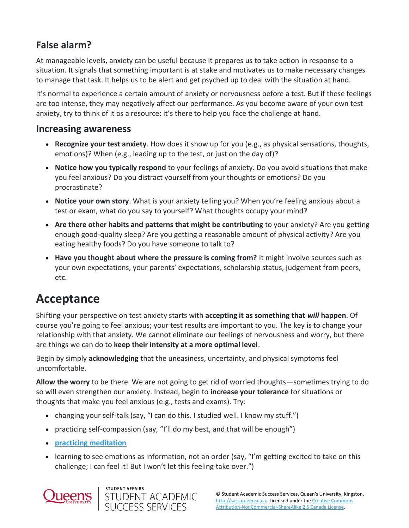## **False alarm?**

At manageable levels, anxiety can be useful because it prepares us to take action in response to a situation. It signals that something important is at stake and motivates us to make necessary changes to manage that task. It helps us to be alert and get psyched up to deal with the situation at hand.

It's normal to experience a certain amount of anxiety or nervousness before a test. But if these feelings are too intense, they may negatively affect our performance. As you become aware of your own test anxiety, try to think of it as a resource: it's there to help you face the challenge at hand.

#### **Increasing awareness**

- **Recognize your test anxiety**. How does it show up for you (e.g., as physical sensations, thoughts, emotions)? When (e.g., leading up to the test, or just on the day of)?
- **Notice how you typically respond** to your feelings of anxiety. Do you avoid situations that make you feel anxious? Do you distract yourself from your thoughts or emotions? Do you procrastinate?
- **Notice your own story**. What is your anxiety telling you? When you're feeling anxious about a test or exam, what do you say to yourself? What thoughts occupy your mind?
- **Are there other habits and patterns that might be contributing** to your anxiety? Are you getting enough good-quality sleep? Are you getting a reasonable amount of physical activity? Are you eating healthy foods? Do you have someone to talk to?
- **Have you thought about where the pressure is coming from?** It might involve sources such as your own expectations, your parents' expectations, scholarship status, judgement from peers, etc.

## **Acceptance**

Shifting your perspective on test anxiety starts with **accepting it as something that** *will* **happen**. Of course you're going to feel anxious; your test results are important to you. The key is to change your relationship with that anxiety. We cannot eliminate our feelings of nervousness and worry, but there are things we can do to **keep their intensity at a more optimal level**.

Begin by simply **acknowledging** that the uneasiness, uncertainty, and physical symptoms feel uncomfortable.

**Allow the worry** to be there. We are not going to get rid of worried thoughts—sometimes trying to do so will even strengthen our anxiety. Instead, begin to **increase your tolerance** for situations or thoughts that make you feel anxious (e.g., tests and exams). Try:

- changing your self-talk (say, "I can do this. I studied well. I know my stuff.")
- practicing self-compassion (say, "I'll do my best, and that will be enough")
- **[practicing meditation](https://www.mindful.org/how-to-meditate/)**
- learning to see emotions as information, not an order (say, "I'm getting excited to take on this challenge; I can feel it! But I won't let this feeling take over.")

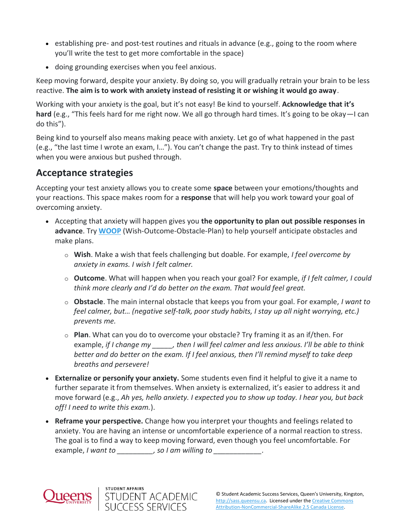- establishing pre- and post-test routines and rituals in advance (e.g., going to the room where you'll write the test to get more comfortable in the space)
- doing grounding exercises when you feel anxious.

Keep moving forward, despite your anxiety. By doing so, you will gradually retrain your brain to be less reactive. **The aim is to work with anxiety instead of resisting it or wishing it would go away**.

Working with your anxiety is the goal, but it's not easy! Be kind to yourself. **Acknowledge that it's hard** (e.g., "This feels hard for me right now. We all go through hard times. It's going to be okay—I can do this").

Being kind to yourself also means making peace with anxiety. Let go of what happened in the past (e.g., "the last time I wrote an exam, I…"). You can't change the past. Try to think instead of times when you were anxious but pushed through.

### **Acceptance strategies**

Accepting your test anxiety allows you to create some **space** between your emotions/thoughts and your reactions. This space makes room for a **response** that will help you work toward your goal of overcoming anxiety.

- Accepting that anxiety will happen gives you **the opportunity to plan out possible responses in advance**. Try **[WOOP](https://woopmylife.org/en/home)** (Wish-Outcome-Obstacle-Plan) to help yourself anticipate obstacles and make plans.
	- o **Wish**. Make a wish that feels challenging but doable. For example, *I feel overcome by anxiety in exams. I wish I felt calmer.*
	- o **Outcome**. What will happen when you reach your goal? For example, *if I felt calmer, I could think more clearly and I'd do better on the exam. That would feel great.*
	- o **Obstacle**. The main internal obstacle that keeps you from your goal. For example, *I want to feel calmer, but… (negative self-talk, poor study habits, I stay up all night worrying, etc.) prevents me.*
	- o **Plan**. What can you do to overcome your obstacle? Try framing it as an if/then. For example, *if I change my \_\_\_\_\_, then I will feel calmer and less anxious. I'll be able to think better and do better on the exam. If I feel anxious, then I'll remind myself to take deep breaths and persevere!*
- **Externalize or personify your anxiety.** Some students even find it helpful to give it a name to further separate it from themselves. When anxiety is externalized, it's easier to address it and move forward (e.g., *Ah yes, hello anxiety. I expected you to show up today. I hear you, but back off! I need to write this exam.*).
- **Reframe your perspective.** Change how you interpret your thoughts and feelings related to anxiety. You are having an intense or uncomfortable experience of a normal reaction to stress. The goal is to find a way to keep moving forward, even though you feel uncomfortable. For example, *I want to \_\_\_\_\_\_\_\_\_, so I am willing to \_\_\_\_\_\_\_\_\_\_\_\_.*



**STUDENT AFFAIRS** 

STUDENT ACADEMIC<br>SUCCESS SERVICES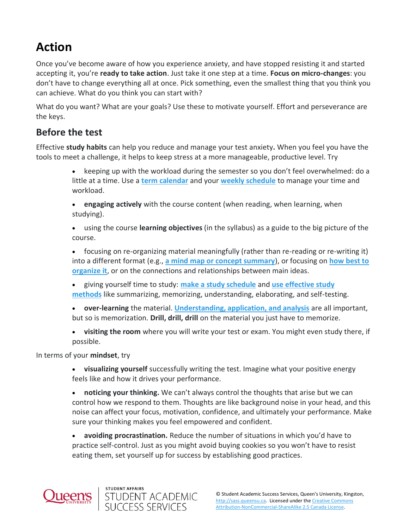## **Action**

Once you've become aware of how you experience anxiety, and have stopped resisting it and started accepting it, you're **ready to take action**. Just take it one step at a time. **Focus on micro-changes**: you don't have to change everything all at once. Pick something, even the smallest thing that you think you can achieve. What do you think you can start with?

What do you want? What are your goals? Use these to motivate yourself. Effort and perseverance are the keys.

#### **Before the test**

Effective **study habits** can help you reduce and manage your test anxiety**.** When you feel you have the tools to meet a challenge, it helps to keep stress at a more manageable, productive level. Try

> • keeping up with the workload during the semester so you don't feel overwhelmed: do a little at a time. Use a **term [calendar](https://sass.queensu.ca/sites/sasswww/files/uploaded_files/Resource%20PDFs/Term-Calendar-Template-2019.pdf)** and your **[weekly schedule](https://sass.queensu.ca/sites/sasswww/files/uploaded_files/Resource%20PDFs/Weekly-Schedule-Template-2019_fillable.pdf)** to manage your time and workload.

• **engaging actively** with the course content (when reading, when learning, when studying).

• using the course **learning objectives** (in the syllabus) as a guide to the big picture of the course.

• focusing on re-organizing material meaningfully (rather than re-reading or re-writing it) into a different format (e.g., **[a mind map or concept summary](https://sass.queensu.ca/resources/online/note-taking)**), or focusing on **[how best to](https://sass.queensu.ca/resources/online/exams)  [organize it](https://sass.queensu.ca/resources/online/exams)**, or on the connections and relationships between main ideas.

• giving yourself time to study: **[make a study schedule](https://sass.queensu.ca/resources/online/exams)** and **[use effective study](https://sass.queensu.ca/resources/online/exams)  [methods](https://sass.queensu.ca/resources/online/exams)** like summarizing, memorizing, understanding, elaborating, and self-testing.

• **over-learning** the material. **[Understanding, application, and analysis](https://sass.queensu.ca/sites/sasswww/files/courses/academics-101/#/)** are all important, but so is memorization. **Drill, drill, drill** on the material you just have to memorize.

• **visiting the room** where you will write your test or exam. You might even study there, if possible.

In terms of your **mindset**, try

• **visualizing yourself** successfully writing the test. Imagine what your positive energy feels like and how it drives your performance.

• **noticing your thinking.** We can't always control the thoughts that arise but we can control how we respond to them. Thoughts are like background noise in your head, and this noise can affect your focus, motivation, confidence, and ultimately your performance. Make sure your thinking makes you feel empowered and confident.

• **avoiding procrastination.** Reduce the number of situations in which you'd have to practice self-control. Just as you might avoid buying cookies so you won't have to resist eating them, set yourself up for success by establishing good practices.



**STUDENT AFFAIRS** 

STUDENT ACADEMIC<br>SUCCESS SERVICES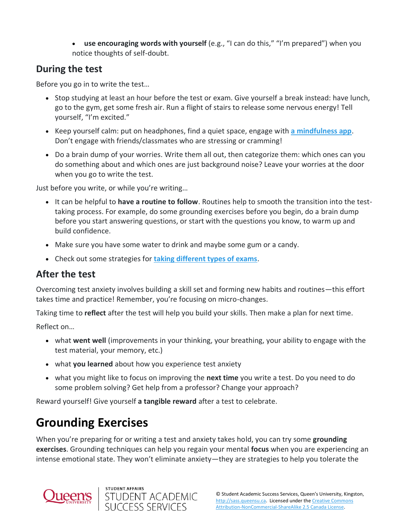• **use encouraging words with yourself** (e.g., "I can do this," "I'm prepared") when you notice thoughts of self-doubt.

### **During the test**

Before you go in to write the test…

- Stop studying at least an hour before the test or exam. Give yourself a break instead: have lunch, go to the gym, get some fresh air. Run a flight of stairs to release some nervous energy! Tell yourself, "I'm excited."
- Keep yourself calm: put on headphones, find a quiet space, engage with **[a mindfulness app](https://play.google.com/store/search?q=mindfulness&c=apps)**. Don't engage with friends/classmates who are stressing or cramming!
- Do a brain dump of your worries. Write them all out, then categorize them: which ones can you do something about and which ones are just background noise? Leave your worries at the door when you go to write the test.

Just before you write, or while you're writing…

- It can be helpful to **have a routine to follow**. Routines help to smooth the transition into the testtaking process. For example, do some grounding exercises before you begin, do a brain dump before you start answering questions, or start with the questions you know, to warm up and build confidence.
- Make sure you have some water to drink and maybe some gum or a candy.
- Check out some strategies for **[taking different types of exams](https://sass.queensu.ca/resources/online/exams)**.

#### **After the test**

Overcoming test anxiety involves building a skill set and forming new habits and routines—this effort takes time and practice! Remember, you're focusing on micro-changes.

Taking time to **reflect** after the test will help you build your skills. Then make a plan for next time.

Reflect on…

- what **went well** (improvements in your thinking, your breathing, your ability to engage with the test material, your memory, etc.)
- what **you learned** about how you experience test anxiety
- what you might like to focus on improving the **next time** you write a test. Do you need to do some problem solving? Get help from a professor? Change your approach?

Reward yourself! Give yourself **a tangible reward** after a test to celebrate.

## **Grounding Exercises**

When you're preparing for or writing a test and anxiety takes hold, you can try some **grounding exercises**. Grounding techniques can help you regain your mental **focus** when you are experiencing an intense emotional state. They won't eliminate anxiety—they are strategies to help you tolerate the

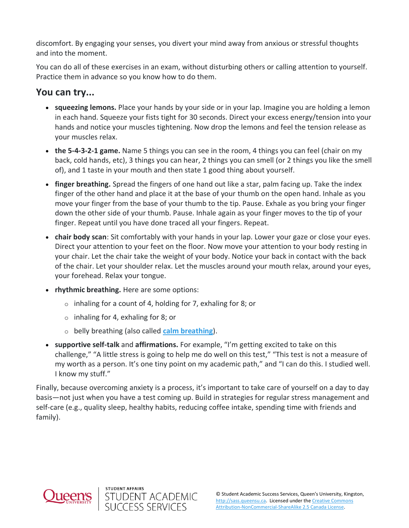discomfort. By engaging your senses, you divert your mind away from anxious or stressful thoughts and into the moment.

You can do all of these exercises in an exam, without disturbing others or calling attention to yourself. Practice them in advance so you know how to do them.

### **You can try...**

- **squeezing lemons.** Place your hands by your side or in your lap. Imagine you are holding a lemon in each hand. Squeeze your fists tight for 30 seconds. Direct your excess energy/tension into your hands and notice your muscles tightening. Now drop the lemons and feel the tension release as your muscles relax.
- **the 5-4-3-2-1 game.** Name 5 things you can see in the room, 4 things you can feel (chair on my back, cold hands, etc), 3 things you can hear, 2 things you can smell (or 2 things you like the smell of), and 1 taste in your mouth and then state 1 good thing about yourself.
- **finger breathing.** Spread the fingers of one hand out like a star, palm facing up. Take the index finger of the other hand and place it at the base of your thumb on the open hand. Inhale as you move your finger from the base of your thumb to the tip. Pause. Exhale as you bring your finger down the other side of your thumb. Pause. Inhale again as your finger moves to the tip of your finger. Repeat until you have done traced all your fingers. Repeat.
- **chair body scan**: Sit comfortably with your hands in your lap. Lower your gaze or close your eyes. Direct your attention to your feet on the floor. Now move your attention to your body resting in your chair. Let the chair take the weight of your body. Notice your back in contact with the back of the chair. Let your shoulder relax. Let the muscles around your mouth relax, around your eyes, your forehead. Relax your tongue.
- **rhythmic breathing.** Here are some options:
	- $\circ$  inhaling for a count of 4, holding for 7, exhaling for 8; or
	- o inhaling for 4, exhaling for 8; or

**STUDENT AFFAIRS** 

STUDENT ACADEMIC<br>SUCCESS SERVICES

- o belly breathing (also called **[calm breathing](https://sass.queensu.ca/sites/sasswww/files/uploaded_files/Resource%20PDFs/CalmBreathing.pdf)**).
- **supportive self-talk** and **affirmations.** For example, "I'm getting excited to take on this challenge," "A little stress is going to help me do well on this test," "This test is not a measure of my worth as a person. It's one tiny point on my academic path," and "I can do this. I studied well. I know my stuff."

Finally, because overcoming anxiety is a process, it's important to take care of yourself on a day to day basis—not just when you have a test coming up. Build in strategies for regular stress management and self-care (e.g., quality sleep, healthy habits, reducing coffee intake, spending time with friends and family).